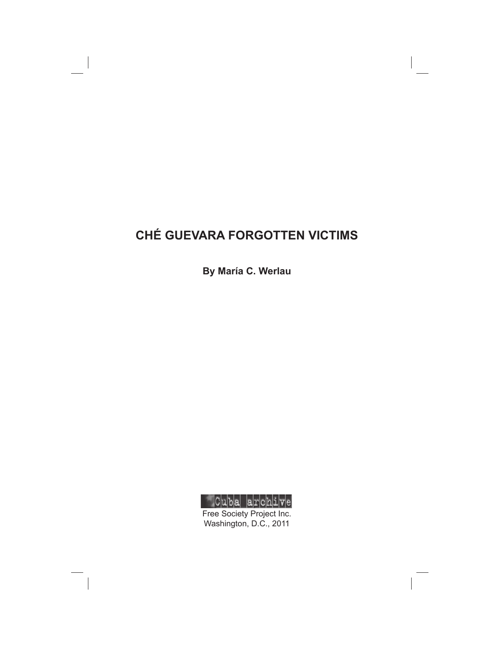# **CHÉ GUEVARA FORGOTTEN VICTIMS**

**By María C. Werlau**



Free Society Project Inc. Washington, D.C., 2011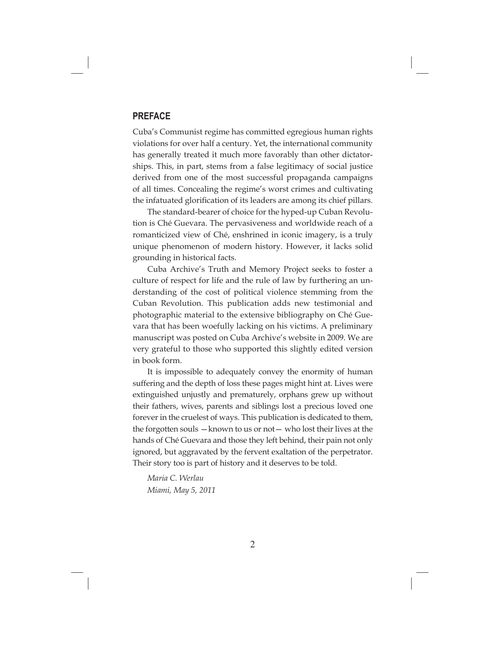### **PREFACE**

Cuba's Communist regime has committed egregious human rights violations for over half a century. Yet, the international community has generally treated it much more favorably than other dictatorships. This, in part, stems from a false legitimacy of social justice derived from one of the most successful propaganda campaigns of all times. Concealing the regime's worst crimes and cultivating the infatuated glorification of its leaders are among its chief pillars.

The standard-bearer of choice for the hyped-up Cuban Revolution is Ché Guevara. The pervasiveness and worldwide reach of a romanticized view of Ché, enshrined in iconic imagery, is a truly unique phenomenon of modern history. However, it lacks solid grounding in historical facts.

Cuba Archive's Truth and Memory Project seeks to foster a culture of respect for life and the rule of law by furthering an understanding of the cost of political violence stemming from the Cuban Revolution. This publication adds new testimonial and photographic material to the extensive bibliography on Ché Guevara that has been woefully lacking on his victims. A preliminary manuscript was posted on Cuba Archive's website in 2009. We are very grateful to those who supported this slightly edited version in book form.

It is impossible to adequately convey the enormity of human suffering and the depth of loss these pages might hint at. Lives were extinguished unjustly and prematurely, orphans grew up without their fathers, wives, parents and siblings lost a precious loved one forever in the cruelest of ways. This publication is dedicated to them, the forgotten souls —known to us or not— who lost their lives at the hands of Ché Guevara and those they left behind, their pain not only ignored, but aggravated by the fervent exaltation of the perpetrator. Their story too is part of history and it deserves to be told.

*Maria C. Werlau Miami, May 5, 2011*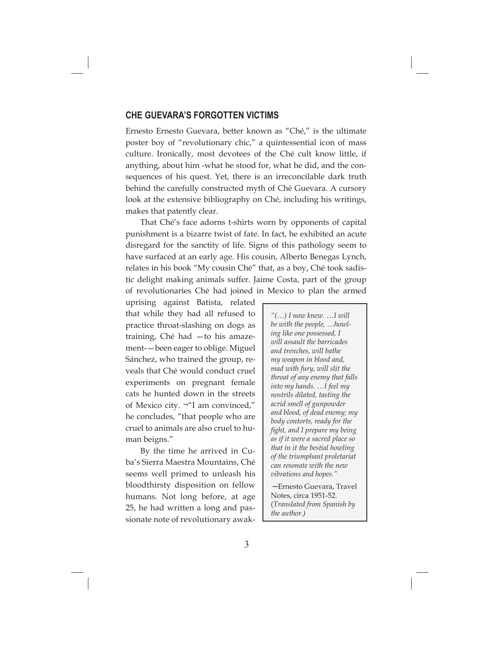#### **CHE GUEVARA'S FORGOTTEN VICTIMS**

Ernesto Ernesto Guevara, better known as "Ché," is the ultimate poster boy of "revolutionary chic," a quintessential icon of mass culture. Ironically, most devotees of the Ché cult know little, if anything, about him -what he stood for, what he did, and the consequences of his quest. Yet, there is an irreconcilable dark truth behind the carefully constructed myth of Ché Guevara. A cursory look at the extensive bibliography on Ché, including his writings, makes that patently clear.

That Ché's face adorns t-shirts worn by opponents of capital punishment is a bizarre twist of fate. In fact, he exhibited an acute disregard for the sanctity of life. Signs of this pathology seem to have surfaced at an early age. His cousin, Alberto Benegas Lynch, relates in his book "My cousin Ché" that, as a boy, Ché took sadistic delight making animals suffer. Jaime Costa, part of the group of revolutionaries Ché had joined in Mexico to plan the armed

uprising against Batista, related that while they had all refused to practice throat-slashing on dogs as training, Ché had —to his amazement-—been eager to oblige. Miguel Sánchez, who trained the group, reveals that Ché would conduct cruel experiments on pregnant female cats he hunted down in the streets of Mexico city. ¬"I am convinced," he concludes, "that people who are cruel to animals are also cruel to human beigns."

By the time he arrived in Cuba's Sierra Maestra Mountains, Ché seems well primed to unleash his bloodthirsty disposition on fellow humans. Not long before, at age 25, he had written a long and passionate note of revolutionary awak-

*"(…) I now knew. …I will be with the people, …howling like one possessed, I will assault the barricades and trenches, will bathe my weapon in blood and, mad with fury, will slit the throat of any enemy that falls into my hands. …I feel my nostrils dilated, tasting the acrid smell of gunpowder and blood, of dead enemy; my body contorts, ready for the fi ght, and I prepare my being as if it were a sacred place so that in it the bestial howling of the triumphant proletariat can resonate with the new vibrations and hopes."* 

─Ernesto Guevara, Travel Notes, circa 1951-52. (*Translated from Spanish by the author.)*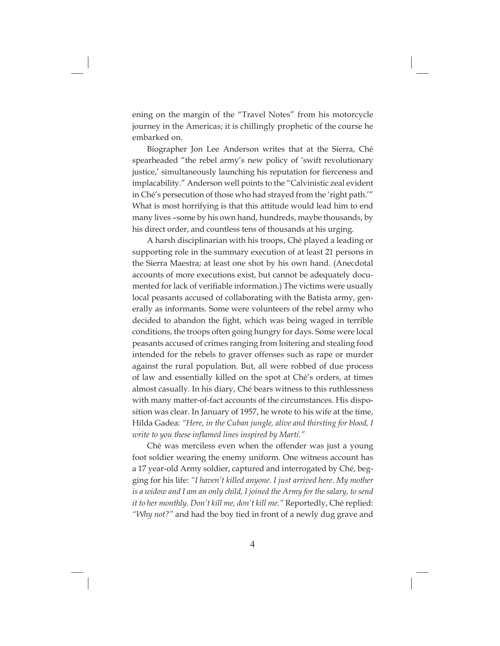ening on the margin of the "Travel Notes" from his motorcycle journey in the Americas; it is chillingly prophetic of the course he embarked on.

Biographer Jon Lee Anderson writes that at the Sierra, Ché spearheaded "the rebel army's new policy of 'swift revolutionary justice,' simultaneously launching his reputation for fierceness and implacability." Anderson well points to the "Calvinistic zeal evident in Ché's persecution of those who had strayed from the 'right path.'" What is most horrifying is that this attitude would lead him to end many lives –some by his own hand, hundreds, maybe thousands, by his direct order, and countless tens of thousands at his urging.

A harsh disciplinarian with his troops, Ché played a leading or supporting role in the summary execution of at least 21 persons in the Sierra Maestra; at least one shot by his own hand. (Anecdotal accounts of more executions exist, but cannot be adequately documented for lack of verifiable information.) The victims were usually local peasants accused of collaborating with the Batista army, generally as informants. Some were volunteers of the rebel army who decided to abandon the fight, which was being waged in terrible conditions, the troops often going hungry for days. Some were local peasants accused of crimes ranging from loitering and stealing food intended for the rebels to graver offenses such as rape or murder against the rural population. But, all were robbed of due process of law and essentially killed on the spot at Ché's orders, at times almost casually. In his diary, Ché bears witness to this ruthlessness with many matter-of-fact accounts of the circumstances. His disposition was clear. In January of 1957, he wrote to his wife at the time, Hilda Gadea: *"Here, in the Cuban jungle, alive and thirsting for blood, I write to you these inflamed lines inspired by Martí."* 

Ché was merciless even when the offender was just a young foot soldier wearing the enemy uniform. One witness account has a 17 year-old Army soldier, captured and interrogated by Ché, begging for his life: *"I haven't killed anyone. I just arrived here. My mother is a widow and I am an only child, I joined the Army for the salary, to send it to her monthly. Don't kill me, don't kill me."* Reportedly, Ché replied: *"Why not?"* and had the boy tied in front of a newly dug grave and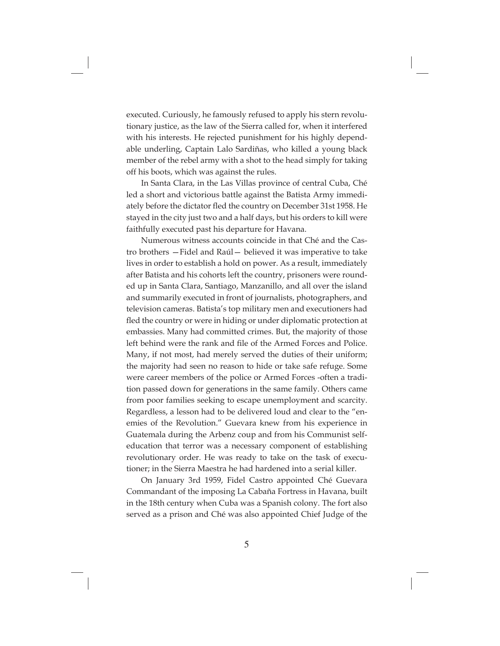executed. Curiously, he famously refused to apply his stern revolutionary justice, as the law of the Sierra called for, when it interfered with his interests. He rejected punishment for his highly dependable underling, Captain Lalo Sardiñas, who killed a young black member of the rebel army with a shot to the head simply for taking off his boots, which was against the rules.

In Santa Clara, in the Las Villas province of central Cuba, Ché led a short and victorious battle against the Batista Army immediately before the dictator fled the country on December 31st 1958. He stayed in the city just two and a half days, but his orders to kill were faithfully executed past his departure for Havana.

Numerous witness accounts coincide in that Ché and the Castro brothers —Fidel and Raúl— believed it was imperative to take lives in order to establish a hold on power. As a result, immediately after Batista and his cohorts left the country, prisoners were rounded up in Santa Clara, Santiago, Manzanillo, and all over the island and summarily executed in front of journalists, photographers, and television cameras. Batista's top military men and executioners had fled the country or were in hiding or under diplomatic protection at embassies. Many had committed crimes. But, the majority of those left behind were the rank and file of the Armed Forces and Police. Many, if not most, had merely served the duties of their uniform; the majority had seen no reason to hide or take safe refuge. Some were career members of the police or Armed Forces -often a tradition passed down for generations in the same family. Others came from poor families seeking to escape unemployment and scarcity. Regardless, a lesson had to be delivered loud and clear to the "enemies of the Revolution." Guevara knew from his experience in Guatemala during the Arbenz coup and from his Communist selfeducation that terror was a necessary component of establishing revolutionary order. He was ready to take on the task of executioner; in the Sierra Maestra he had hardened into a serial killer.

On January 3rd 1959, Fidel Castro appointed Ché Guevara Commandant of the imposing La Cabaña Fortress in Havana, built in the 18th century when Cuba was a Spanish colony. The fort also served as a prison and Ché was also appointed Chief Judge of the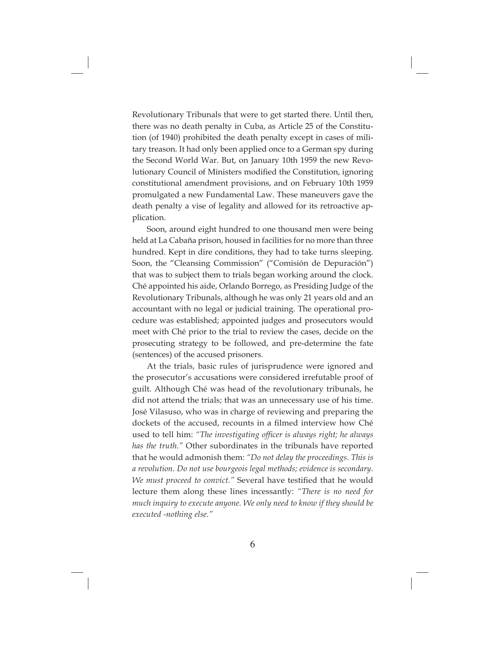Revolutionary Tribunals that were to get started there. Until then, there was no death penalty in Cuba, as Article 25 of the Constitution (of 1940) prohibited the death penalty except in cases of military treason. It had only been applied once to a German spy during the Second World War. But, on January 10th 1959 the new Revolutionary Council of Ministers modified the Constitution, ignoring constitutional amendment provisions, and on February 10th 1959 promulgated a new Fundamental Law. These maneuvers gave the death penalty a vise of legality and allowed for its retroactive application.

Soon, around eight hundred to one thousand men were being held at La Cabaña prison, housed in facilities for no more than three hundred. Kept in dire conditions, they had to take turns sleeping. Soon, the "Cleansing Commission" ("Comisión de Depuración") that was to subject them to trials began working around the clock. Ché appointed his aide, Orlando Borrego, as Presiding Judge of the Revolutionary Tribunals, although he was only 21 years old and an accountant with no legal or judicial training. The operational procedure was established; appointed judges and prosecutors would meet with Ché prior to the trial to review the cases, decide on the prosecuting strategy to be followed, and pre-determine the fate (sentences) of the accused prisoners.

At the trials, basic rules of jurisprudence were ignored and the prosecutor's accusations were considered irrefutable proof of guilt. Although Ché was head of the revolutionary tribunals, he did not attend the trials; that was an unnecessary use of his time. José Vilasuso, who was in charge of reviewing and preparing the dockets of the accused, recounts in a filmed interview how Ché used to tell him: "The investigating officer is always right; he always *has the truth."* Other subordinates in the tribunals have reported that he would admonish them: *"Do not delay the proceedings. This is a revolution. Do not use bourgeois legal methods; evidence is secondary. We must proceed to convict."* Several have testified that he would lecture them along these lines incessantly: *"There is no need for much inquiry to execute anyone. We only need to know if they should be executed -nothing else."*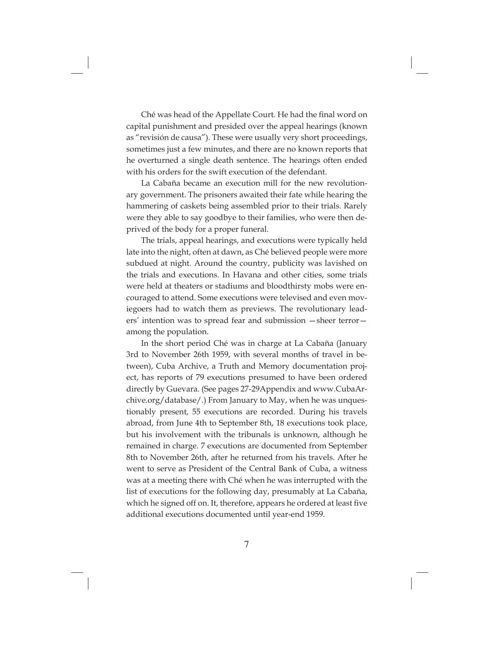Ché was head of the Appellate Court. He had the final word on capital punishment and presided over the appeal hearings (known as "revisión de causa"). These were usually very short proceedings, sometimes just a few minutes, and there are no known reports that he overturned a single death sentence. The hearings often ended with his orders for the swift execution of the defendant.

La Cabaña became an execution mill for the new revolutionary government. The prisoners awaited their fate while hearing the hammering of caskets being assembled prior to their trials. Rarely were they able to say goodbye to their families, who were then deprived of the body for a proper funeral.

The trials, appeal hearings, and executions were typically held late into the night, often at dawn, as Ché believed people were more subdued at night. Around the country, publicity was lavished on the trials and executions. In Havana and other cities, some trials were held at theaters or stadiums and bloodthirsty mobs were encouraged to attend. Some executions were televised and even moviegoers had to watch them as previews. The revolutionary leaders' intention was to spread fear and submission —sheer terror among the population.

In the short period Ché was in charge at La Cabaña (January 3rd to November 26th 1959, with several months of travel in between), Cuba Archive, a Truth and Memory documentation project, has reports of 79 executions presumed to have been ordered directly by Guevara. (See pages 27-29Appendix and www.CubaArchive.org/database/.) From January to May, when he was unquestionably present, 55 executions are recorded. During his travels abroad, from June 4th to September 8th, 18 executions took place, but his involvement with the tribunals is unknown, although he remained in charge. 7 executions are documented from September 8th to November 26th, after he returned from his travels. After he went to serve as President of the Central Bank of Cuba, a witness was at a meeting there with Ché when he was interrupted with the list of executions for the following day, presumably at La Cabaña, which he signed off on. It, therefore, appears he ordered at least five additional executions documented until year-end 1959.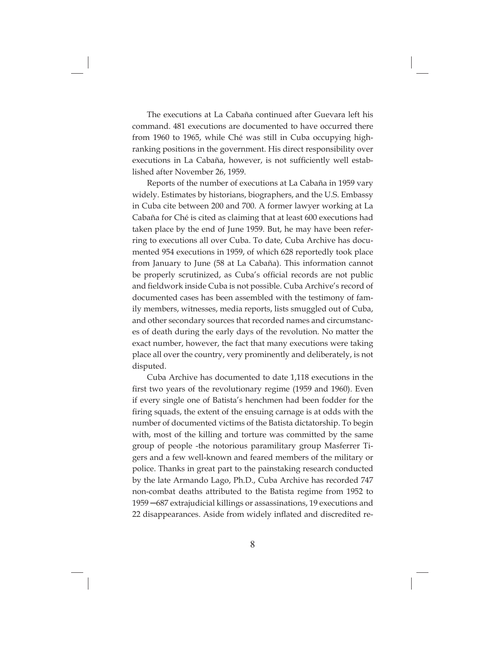The executions at La Cabaña continued after Guevara left his command. 481 executions are documented to have occurred there from 1960 to 1965, while Ché was still in Cuba occupying highranking positions in the government. His direct responsibility over executions in La Cabaña, however, is not sufficiently well established after November 26, 1959.

Reports of the number of executions at La Cabaña in 1959 vary widely. Estimates by historians, biographers, and the U.S. Embassy in Cuba cite between 200 and 700. A former lawyer working at La Cabaña for Ché is cited as claiming that at least 600 executions had taken place by the end of June 1959. But, he may have been referring to executions all over Cuba. To date, Cuba Archive has documented 954 executions in 1959, of which 628 reportedly took place from January to June (58 at La Cabaña). This information cannot be properly scrutinized, as Cuba's official records are not public and fieldwork inside Cuba is not possible. Cuba Archive's record of documented cases has been assembled with the testimony of family members, witnesses, media reports, lists smuggled out of Cuba, and other secondary sources that recorded names and circumstances of death during the early days of the revolution. No matter the exact number, however, the fact that many executions were taking place all over the country, very prominently and deliberately, is not disputed.

Cuba Archive has documented to date 1,118 executions in the first two years of the revolutionary regime (1959 and 1960). Even if every single one of Batista's henchmen had been fodder for the firing squads, the extent of the ensuing carnage is at odds with the number of documented victims of the Batista dictatorship. To begin with, most of the killing and torture was committed by the same group of people -the notorious paramilitary group Masferrer Tigers and a few well-known and feared members of the military or police. Thanks in great part to the painstaking research conducted by the late Armando Lago, Ph.D., Cuba Archive has recorded 747 non-combat deaths attributed to the Batista regime from 1952 to 1959 ─687 extrajudicial killings or assassinations, 19 executions and 22 disappearances. Aside from widely inflated and discredited re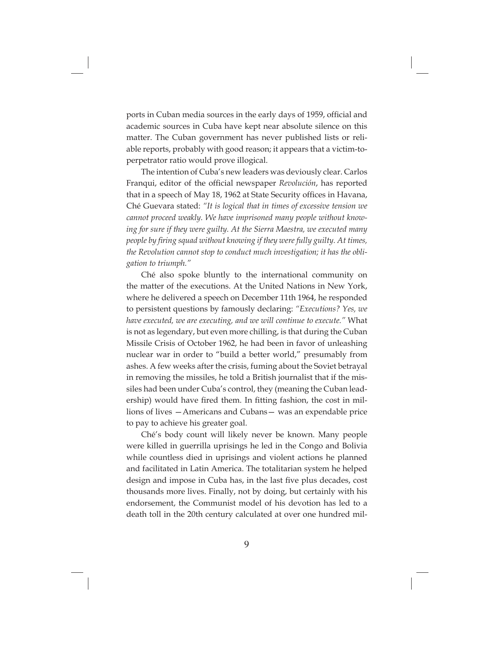ports in Cuban media sources in the early days of 1959, official and academic sources in Cuba have kept near absolute silence on this matter. The Cuban government has never published lists or reliable reports, probably with good reason; it appears that a victim-toperpetrator ratio would prove illogical.

The intention of Cuba's new leaders was deviously clear. Carlos Franqui, editor of the official newspaper *Revolución*, has reported that in a speech of May 18, 1962 at State Security offices in Havana, Ché Guevara stated: *"It is logical that in times of excessive tension we cannot proceed weakly. We have imprisoned many people without knowing for sure if they were guilty. At the Sierra Maestra, we executed many people by firing squad without knowing if they were fully guilty. At times, the Revolution cannot stop to conduct much investigation; it has the obligation to triumph."*

Ché also spoke bluntly to the international community on the matter of the executions. At the United Nations in New York, where he delivered a speech on December 11th 1964, he responded to persistent questions by famously declaring: *"Executions? Yes, we have executed, we are executing, and we will continue to execute."* What is not as legendary, but even more chilling, is that during the Cuban Missile Crisis of October 1962, he had been in favor of unleashing nuclear war in order to "build a better world," presumably from ashes. A few weeks after the crisis, fuming about the Soviet betrayal in removing the missiles, he told a British journalist that if the missiles had been under Cuba's control, they (meaning the Cuban leadership) would have fired them. In fitting fashion, the cost in millions of lives —Americans and Cubans— was an expendable price to pay to achieve his greater goal.

Ché's body count will likely never be known. Many people were killed in guerrilla uprisings he led in the Congo and Bolivia while countless died in uprisings and violent actions he planned and facilitated in Latin America. The totalitarian system he helped design and impose in Cuba has, in the last five plus decades, cost thousands more lives. Finally, not by doing, but certainly with his endorsement, the Communist model of his devotion has led to a death toll in the 20th century calculated at over one hundred mil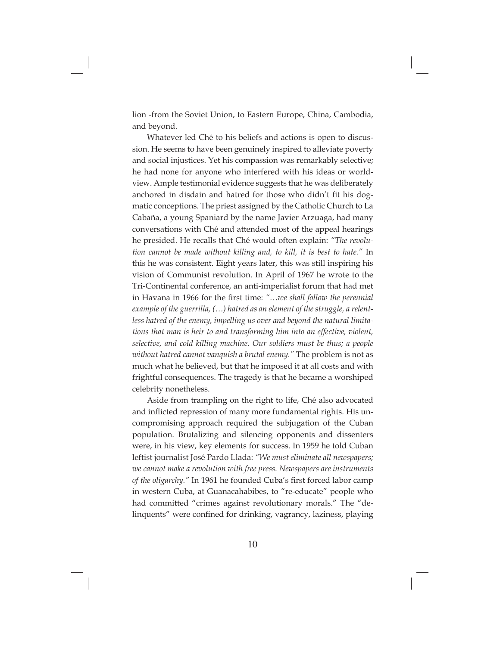lion -from the Soviet Union, to Eastern Europe, China, Cambodia, and beyond.

Whatever led Ché to his beliefs and actions is open to discussion. He seems to have been genuinely inspired to alleviate poverty and social injustices. Yet his compassion was remarkably selective; he had none for anyone who interfered with his ideas or worldview. Ample testimonial evidence suggests that he was deliberately anchored in disdain and hatred for those who didn't fit his dogmatic conceptions. The priest assigned by the Catholic Church to La Cabaña, a young Spaniard by the name Javier Arzuaga, had many conversations with Ché and attended most of the appeal hearings he presided. He recalls that Ché would often explain: *"The revolution cannot be made without killing and, to kill, it is best to hate."* In this he was consistent. Eight years later, this was still inspiring his vision of Communist revolution. In April of 1967 he wrote to the Tri-Continental conference, an anti-imperialist forum that had met in Havana in 1966 for the first time: "...we shall follow the perennial *example of the guerrilla, (…) hatred as an element of the struggle, a relentless hatred of the enemy, impelling us over and beyond the natural limitations that man is heir to and transforming him into an effective, violent, selective, and cold killing machine. Our soldiers must be thus; a people without hatred cannot vanquish a brutal enemy."* The problem is not as much what he believed, but that he imposed it at all costs and with frightful consequences. The tragedy is that he became a worshiped celebrity nonetheless.

Aside from trampling on the right to life, Ché also advocated and inflicted repression of many more fundamental rights. His uncompromising approach required the subjugation of the Cuban population. Brutalizing and silencing opponents and dissenters were, in his view, key elements for success. In 1959 he told Cuban leftist journalist José Pardo Llada: *"We must eliminate all newspapers; we cannot make a revolution with free press. Newspapers are instruments*  of the oligarchy." In 1961 he founded Cuba's first forced labor camp in western Cuba, at Guanacahabibes, to "re-educate" people who had committed "crimes against revolutionary morals." The "delinquents" were confined for drinking, vagrancy, laziness, playing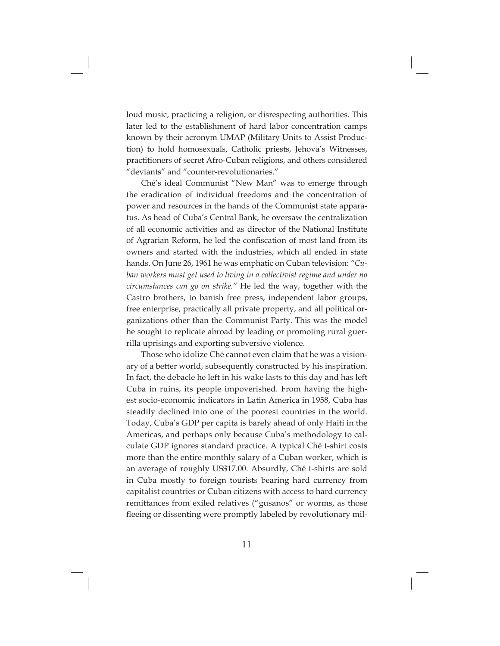loud music, practicing a religion, or disrespecting authorities. This later led to the establishment of hard labor concentration camps known by their acronym UMAP (Military Units to Assist Production) to hold homosexuals, Catholic priests, Jehova's Witnesses, practitioners of secret Afro-Cuban religions, and others considered "deviants" and "counter-revolutionaries."

Ché's ideal Communist "New Man" was to emerge through the eradication of individual freedoms and the concentration of power and resources in the hands of the Communist state apparatus. As head of Cuba's Central Bank, he oversaw the centralization of all economic activities and as director of the National Institute of Agrarian Reform, he led the confiscation of most land from its owners and started with the industries, which all ended in state hands. On June 26, 1961 he was emphatic on Cuban television: *"Cuban workers must get used to living in a collectivist regime and under no circumstances can go on strike."* He led the way, together with the Castro brothers, to banish free press, independent labor groups, free enterprise, practically all private property, and all political organizations other than the Communist Party. This was the model he sought to replicate abroad by leading or promoting rural guerrilla uprisings and exporting subversive violence.

Those who idolize Ché cannot even claim that he was a visionary of a better world, subsequently constructed by his inspiration. In fact, the debacle he left in his wake lasts to this day and has left Cuba in ruins, its people impoverished. From having the highest socio-economic indicators in Latin America in 1958, Cuba has steadily declined into one of the poorest countries in the world. Today, Cuba's GDP per capita is barely ahead of only Haiti in the Americas, and perhaps only because Cuba's methodology to calculate GDP ignores standard practice. A typical Ché t-shirt costs more than the entire monthly salary of a Cuban worker, which is an average of roughly US\$17.00. Absurdly, Ché t-shirts are sold in Cuba mostly to foreign tourists bearing hard currency from capitalist countries or Cuban citizens with access to hard currency remittances from exiled relatives ("gusanos" or worms, as those fleeing or dissenting were promptly labeled by revolutionary mil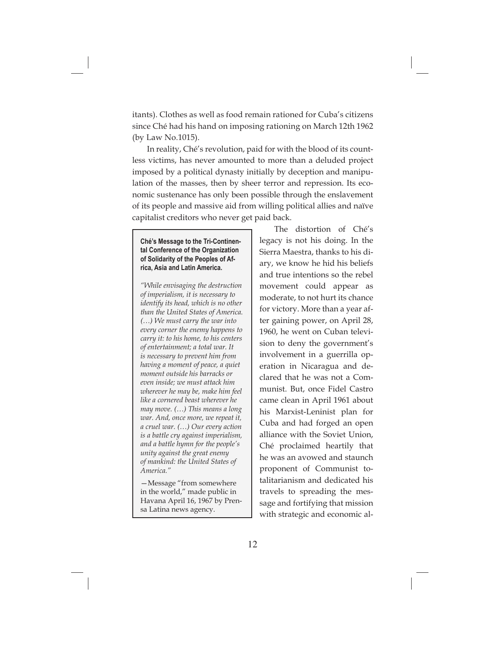itants). Clothes as well as food remain rationed for Cuba's citizens since Ché had his hand on imposing rationing on March 12th 1962 (by Law No.1015).

In reality, Ché's revolution, paid for with the blood of its countless victims, has never amounted to more than a deluded project imposed by a political dynasty initially by deception and manipulation of the masses, then by sheer terror and repression. Its economic sustenance has only been possible through the enslavement of its people and massive aid from willing political allies and naïve capitalist creditors who never get paid back.

#### **Ché's Message to the Tri-Continental Conference of the Organization of Solidarity of the Peoples of Africa, Asia and Latin America.**

*"While envisaging the destruction of imperialism, it is necessary to identify its head, which is no other than the United States of America. (…) We must carry the war into every corner the enemy happens to carry it: to his home, to his centers of entertainment; a total war. It is necessary to prevent him from having a moment of peace, a quiet moment outside his barracks or even inside; we must attack him wherever he may be, make him feel like a cornered beast wherever he may move. (…) This means a long war. And, once more, we repeat it, a cruel war. (…) Our every action is a battle cry against imperialism, and a battle hymn for the people's unity against the great enemy of mankind: the United States of America."* 

—Message "from somewhere in the world," made public in Havana April 16, 1967 by Prensa Latina news agency.

The distortion of Ché's legacy is not his doing. In the Sierra Maestra, thanks to his diary, we know he hid his beliefs and true intentions so the rebel movement could appear as moderate, to not hurt its chance for victory. More than a year after gaining power, on April 28, 1960, he went on Cuban television to deny the government's involvement in a guerrilla operation in Nicaragua and declared that he was not a Communist. But, once Fidel Castro came clean in April 1961 about his Marxist-Leninist plan for Cuba and had forged an open alliance with the Soviet Union, Ché proclaimed heartily that he was an avowed and staunch proponent of Communist totalitarianism and dedicated his travels to spreading the message and fortifying that mission with strategic and economic al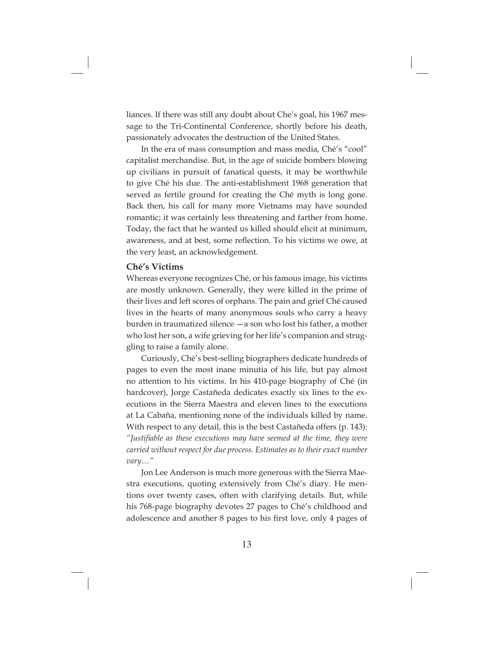liances. If there was still any doubt about Che's goal, his 1967 message to the Tri-Continental Conference, shortly before his death, passionately advocates the destruction of the United States.

In the era of mass consumption and mass media, Ché's "cool" capitalist merchandise. But, in the age of suicide bombers blowing up civilians in pursuit of fanatical quests, it may be worthwhile to give Ché his due. The anti-establishment 1968 generation that served as fertile ground for creating the Ché myth is long gone. Back then, his call for many more Vietnams may have sounded romantic; it was certainly less threatening and farther from home. Today, the fact that he wanted us killed should elicit at minimum, awareness, and at best, some reflection. To his victims we owe, at the very least, an acknowledgement.

#### **Ché's Victims**

Whereas everyone recognizes Ché, or his famous image, his victims are mostly unknown. Generally, they were killed in the prime of their lives and left scores of orphans. The pain and grief Ché caused lives in the hearts of many anonymous souls who carry a heavy burden in traumatized silence —a son who lost his father, a mother who lost her son, a wife grieving for her life's companion and struggling to raise a family alone.

Curiously, Ché's best-selling biographers dedicate hundreds of pages to even the most inane minutia of his life, but pay almost no attention to his victims. In his 410-page biography of Ché (in hardcover), Jorge Castañeda dedicates exactly six lines to the executions in the Sierra Maestra and eleven lines to the executions at La Cabaña, mentioning none of the individuals killed by name. With respect to any detail, this is the best Castañeda offers (p. 143): *"Justifi able as these executions may have seemed at the time, they were carried without respect for due process. Estimates as to their exact number vary…"*

Jon Lee Anderson is much more generous with the Sierra Maestra executions, quoting extensively from Ché's diary. He mentions over twenty cases, often with clarifying details. But, while his 768-page biography devotes 27 pages to Ché's childhood and adolescence and another 8 pages to his first love, only 4 pages of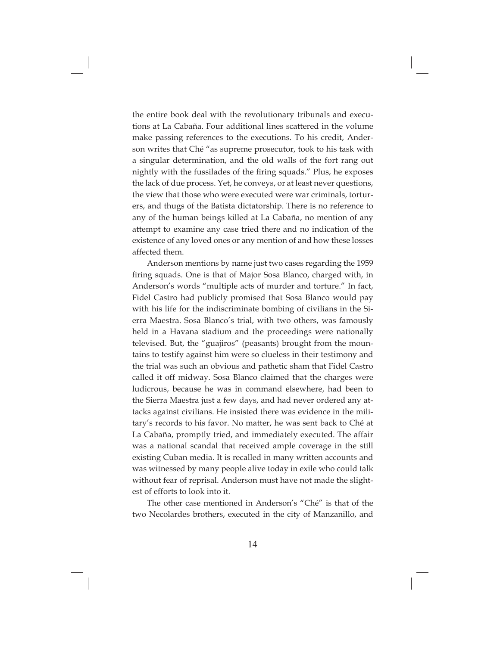the entire book deal with the revolutionary tribunals and executions at La Cabaña. Four additional lines scattered in the volume make passing references to the executions. To his credit, Anderson writes that Ché "as supreme prosecutor, took to his task with a singular determination, and the old walls of the fort rang out nightly with the fussilades of the firing squads." Plus, he exposes the lack of due process. Yet, he conveys, or at least never questions, the view that those who were executed were war criminals, torturers, and thugs of the Batista dictatorship. There is no reference to any of the human beings killed at La Cabaña, no mention of any attempt to examine any case tried there and no indication of the existence of any loved ones or any mention of and how these losses affected them.

Anderson mentions by name just two cases regarding the 1959 firing squads. One is that of Major Sosa Blanco, charged with, in Anderson's words "multiple acts of murder and torture." In fact, Fidel Castro had publicly promised that Sosa Blanco would pay with his life for the indiscriminate bombing of civilians in the Sierra Maestra. Sosa Blanco's trial, with two others, was famously held in a Havana stadium and the proceedings were nationally televised. But, the "guajiros" (peasants) brought from the mountains to testify against him were so clueless in their testimony and the trial was such an obvious and pathetic sham that Fidel Castro called it off midway. Sosa Blanco claimed that the charges were ludicrous, because he was in command elsewhere, had been to the Sierra Maestra just a few days, and had never ordered any attacks against civilians. He insisted there was evidence in the military's records to his favor. No matter, he was sent back to Ché at La Cabaña, promptly tried, and immediately executed. The affair was a national scandal that received ample coverage in the still existing Cuban media. It is recalled in many written accounts and was witnessed by many people alive today in exile who could talk without fear of reprisal. Anderson must have not made the slightest of efforts to look into it.

The other case mentioned in Anderson's "Ché" is that of the two Necolardes brothers, executed in the city of Manzanillo, and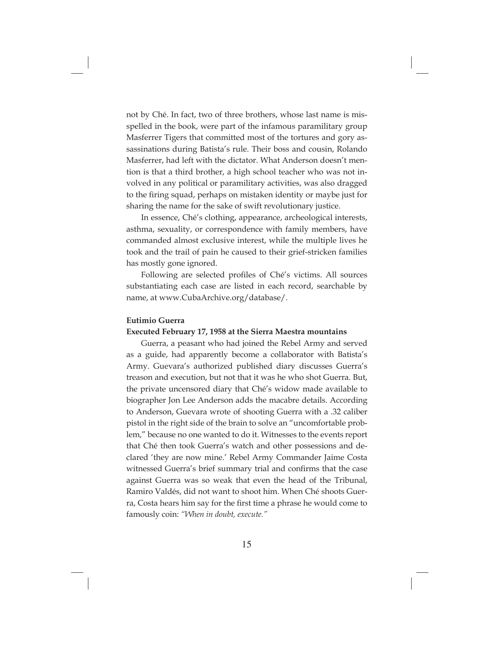not by Ché. In fact, two of three brothers, whose last name is misspelled in the book, were part of the infamous paramilitary group Masferrer Tigers that committed most of the tortures and gory assassinations during Batista's rule. Their boss and cousin, Rolando Masferrer, had left with the dictator. What Anderson doesn't mention is that a third brother, a high school teacher who was not involved in any political or paramilitary activities, was also dragged to the firing squad, perhaps on mistaken identity or maybe just for sharing the name for the sake of swift revolutionary justice.

In essence, Ché's clothing, appearance, archeological interests, asthma, sexuality, or correspondence with family members, have commanded almost exclusive interest, while the multiple lives he took and the trail of pain he caused to their grief-stricken families has mostly gone ignored.

Following are selected profiles of Ché's victims. All sources substantiating each case are listed in each record, searchable by name, at www.CubaArchive.org/database/.

#### **Eutimio Guerra**

#### **Executed February 17, 1958 at the Sierra Maestra mountains**

Guerra, a peasant who had joined the Rebel Army and served as a guide, had apparently become a collaborator with Batista's Army. Guevara's authorized published diary discusses Guerra's treason and execution, but not that it was he who shot Guerra. But, the private uncensored diary that Ché's widow made available to biographer Jon Lee Anderson adds the macabre details. According to Anderson, Guevara wrote of shooting Guerra with a .32 caliber pistol in the right side of the brain to solve an "uncomfortable problem," because no one wanted to do it. Witnesses to the events report that Ché then took Guerra's watch and other possessions and declared 'they are now mine.' Rebel Army Commander Jaime Costa witnessed Guerra's brief summary trial and confirms that the case against Guerra was so weak that even the head of the Tribunal, Ramiro Valdés, did not want to shoot him. When Ché shoots Guerra, Costa hears him say for the first time a phrase he would come to famously coin: *"When in doubt, execute."*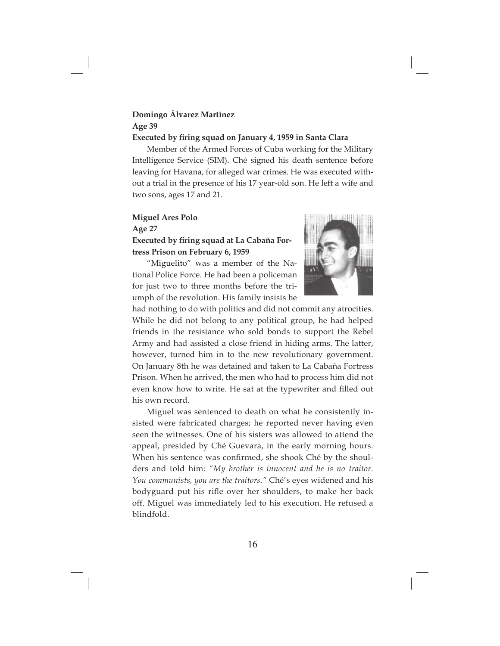# **Domingo Álvarez Martínez Age 39**

#### **Executed by firing squad on January 4, 1959 in Santa Clara**

Member of the Armed Forces of Cuba working for the Military Intelligence Service (SIM). Ché signed his death sentence before leaving for Havana, for alleged war crimes. He was executed without a trial in the presence of his 17 year-old son. He left a wife and two sons, ages 17 and 21.

#### **Miguel Ares Polo**

**Age 27**

### **Executed by firing squad at La Cabaña Fortress Prison on February 6, 1959**

"Miguelito" was a member of the National Police Force. He had been a policeman for just two to three months before the triumph of the revolution. His family insists he



had nothing to do with politics and did not commit any atrocities. While he did not belong to any political group, he had helped friends in the resistance who sold bonds to support the Rebel Army and had assisted a close friend in hiding arms. The latter, however, turned him in to the new revolutionary government. On January 8th he was detained and taken to La Cabaña Fortress Prison. When he arrived, the men who had to process him did not even know how to write. He sat at the typewriter and filled out his own record.

Miguel was sentenced to death on what he consistently insisted were fabricated charges; he reported never having even seen the witnesses. One of his sisters was allowed to attend the appeal, presided by Ché Guevara, in the early morning hours. When his sentence was confirmed, she shook Ché by the shoulders and told him: *"My brother is innocent and he is no traitor. You communists, you are the traitors."* Ché's eyes widened and his bodyguard put his rifle over her shoulders, to make her back off. Miguel was immediately led to his execution. He refused a blindfold.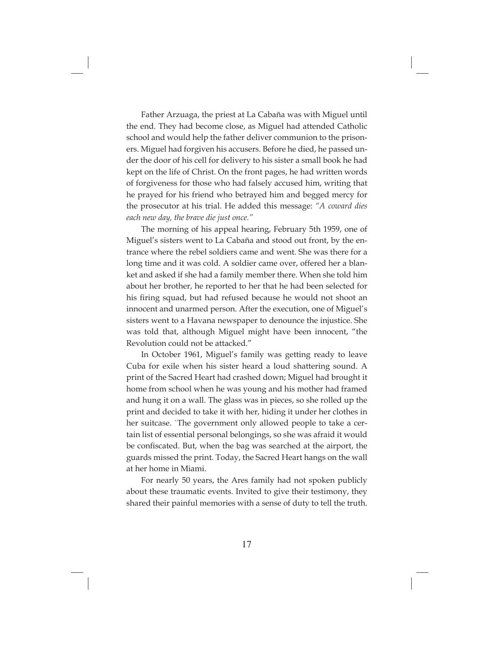Father Arzuaga, the priest at La Cabaña was with Miguel until the end. They had become close, as Miguel had attended Catholic school and would help the father deliver communion to the prisoners. Miguel had forgiven his accusers. Before he died, he passed under the door of his cell for delivery to his sister a small book he had kept on the life of Christ. On the front pages, he had written words of forgiveness for those who had falsely accused him, writing that he prayed for his friend who betrayed him and begged mercy for the prosecutor at his trial. He added this message: *"A coward dies each new day, the brave die just once."*

The morning of his appeal hearing, February 5th 1959, one of Miguel's sisters went to La Cabaña and stood out front, by the entrance where the rebel soldiers came and went. She was there for a long time and it was cold. A soldier came over, offered her a blanket and asked if she had a family member there. When she told him about her brother, he reported to her that he had been selected for his firing squad, but had refused because he would not shoot an innocent and unarmed person. After the execution, one of Miguel's sisters went to a Havana newspaper to denounce the injustice. She was told that, although Miguel might have been innocent, "the Revolution could not be attacked."

In October 1961, Miguel's family was getting ready to leave Cuba for exile when his sister heard a loud shattering sound. A print of the Sacred Heart had crashed down; Miguel had brought it home from school when he was young and his mother had framed and hung it on a wall. The glass was in pieces, so she rolled up the print and decided to take it with her, hiding it under her clothes in her suitcase. `The government only allowed people to take a certain list of essential personal belongings, so she was afraid it would be confiscated. But, when the bag was searched at the airport, the guards missed the print. Today, the Sacred Heart hangs on the wall at her home in Miami.

For nearly 50 years, the Ares family had not spoken publicly about these traumatic events. Invited to give their testimony, they shared their painful memories with a sense of duty to tell the truth.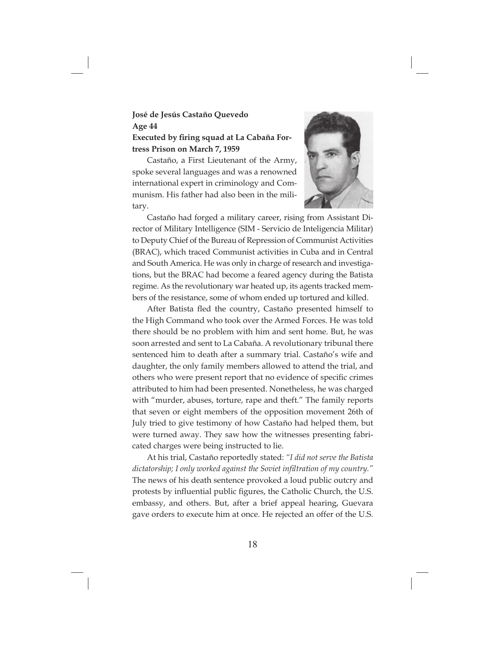### **José de Jesús Castaño Quevedo Age 44 Executed by firing squad at La Cabaña Fortress Prison on March 7, 1959**

Castaño, a First Lieutenant of the Army, spoke several languages and was a renowned international expert in criminology and Communism. His father had also been in the military.



Castaño had forged a military career, rising from Assistant Director of Military Intelligence (SIM - Servicio de Inteligencia Militar) to Deputy Chief of the Bureau of Repression of Communist Activities (BRAC), which traced Communist activities in Cuba and in Central and South America. He was only in charge of research and investigations, but the BRAC had become a feared agency during the Batista regime. As the revolutionary war heated up, its agents tracked members of the resistance, some of whom ended up tortured and killed.

After Batista fled the country, Castaño presented himself to the High Command who took over the Armed Forces. He was told there should be no problem with him and sent home. But, he was soon arrested and sent to La Cabaña. A revolutionary tribunal there sentenced him to death after a summary trial. Castaño's wife and daughter, the only family members allowed to attend the trial, and others who were present report that no evidence of specific crimes attributed to him had been presented. Nonetheless, he was charged with "murder, abuses, torture, rape and theft." The family reports that seven or eight members of the opposition movement 26th of July tried to give testimony of how Castaño had helped them, but were turned away. They saw how the witnesses presenting fabricated charges were being instructed to lie.

At his trial, Castaño reportedly stated: *"I did not serve the Batista dictatorship; I only worked against the Soviet infiltration of my country."* The news of his death sentence provoked a loud public outcry and protests by influential public figures, the Catholic Church, the U.S. embassy, and others. But, after a brief appeal hearing, Guevara gave orders to execute him at once. He rejected an offer of the U.S.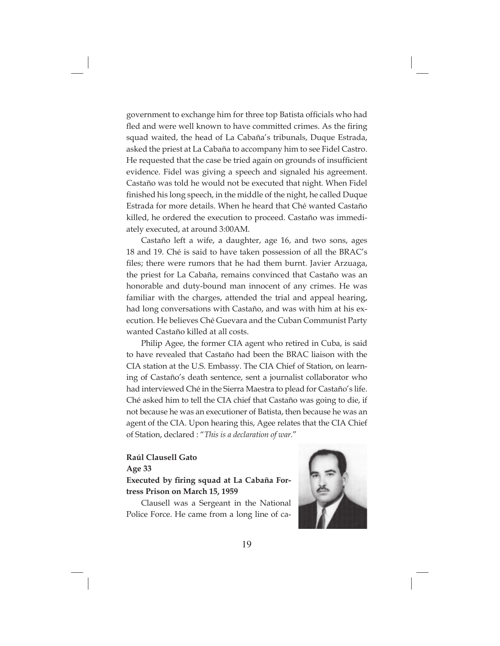government to exchange him for three top Batista officials who had fled and were well known to have committed crimes. As the firing squad waited, the head of La Cabaña's tribunals, Duque Estrada, asked the priest at La Cabaña to accompany him to see Fidel Castro. He requested that the case be tried again on grounds of insufficient evidence. Fidel was giving a speech and signaled his agreement. Castaño was told he would not be executed that night. When Fidel finished his long speech, in the middle of the night, he called Duque Estrada for more details. When he heard that Ché wanted Castaño killed, he ordered the execution to proceed. Castaño was immediately executed, at around 3:00AM.

Castaño left a wife, a daughter, age 16, and two sons, ages 18 and 19. Ché is said to have taken possession of all the BRAC's files; there were rumors that he had them burnt. Javier Arzuaga, the priest for La Cabaña, remains convinced that Castaño was an honorable and duty-bound man innocent of any crimes. He was familiar with the charges, attended the trial and appeal hearing, had long conversations with Castaño, and was with him at his execution. He believes Ché Guevara and the Cuban Communist Party wanted Castaño killed at all costs.

Philip Agee, the former CIA agent who retired in Cuba, is said to have revealed that Castaño had been the BRAC liaison with the CIA station at the U.S. Embassy. The CIA Chief of Station, on learning of Castaño's death sentence, sent a journalist collaborator who had interviewed Ché in the Sierra Maestra to plead for Castaño's life. Ché asked him to tell the CIA chief that Castaño was going to die, if not because he was an executioner of Batista, then because he was an agent of the CIA. Upon hearing this, Agee relates that the CIA Chief of Station, declared : "*This is a declaration of war.*"

# **Raúl Clausell Gato**

### **Age 33 Executed by firing squad at La Cabaña Fortress Prison on March 15, 1959**

Clausell was a Sergeant in the National Police Force. He came from a long line of ca-

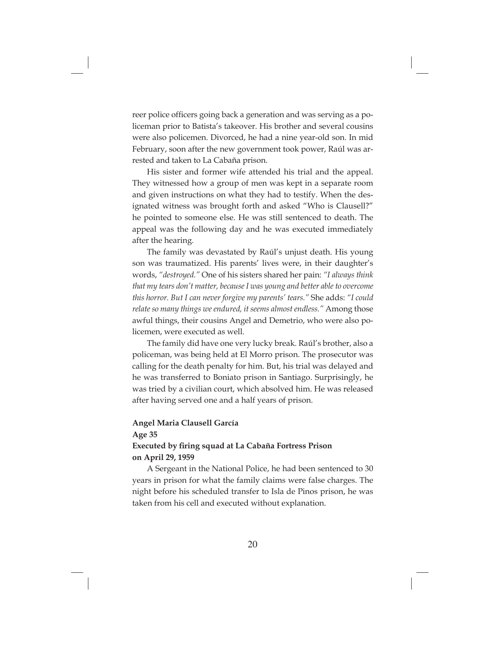reer police officers going back a generation and was serving as a policeman prior to Batista's takeover. His brother and several cousins were also policemen. Divorced, he had a nine year-old son. In mid February, soon after the new government took power, Raúl was arrested and taken to La Cabaña prison.

His sister and former wife attended his trial and the appeal. They witnessed how a group of men was kept in a separate room and given instructions on what they had to testify. When the designated witness was brought forth and asked "Who is Clausell?" he pointed to someone else. He was still sentenced to death. The appeal was the following day and he was executed immediately after the hearing.

The family was devastated by Raúl's unjust death. His young son was traumatized. His parents' lives were, in their daughter's words, *"destroyed."* One of his sisters shared her pain: *"I always think that my tears don't matter, because I was young and better able to overcome this horror. But I can never forgive my parents' tears."* She adds: *"I could relate so many things we endured, it seems almost endless."* Among those awful things, their cousins Angel and Demetrio, who were also policemen, were executed as well.

The family did have one very lucky break. Raúl's brother, also a policeman, was being held at El Morro prison. The prosecutor was calling for the death penalty for him. But, his trial was delayed and he was transferred to Boniato prison in Santiago. Surprisingly, he was tried by a civilian court, which absolved him. He was released after having served one and a half years of prison.

#### **Angel Maria Clausell García**

**Age 35**

### **Executed by firing squad at La Cabaña Fortress Prison on April 29, 1959**

A Sergeant in the National Police, he had been sentenced to 30 years in prison for what the family claims were false charges. The night before his scheduled transfer to Isla de Pinos prison, he was taken from his cell and executed without explanation.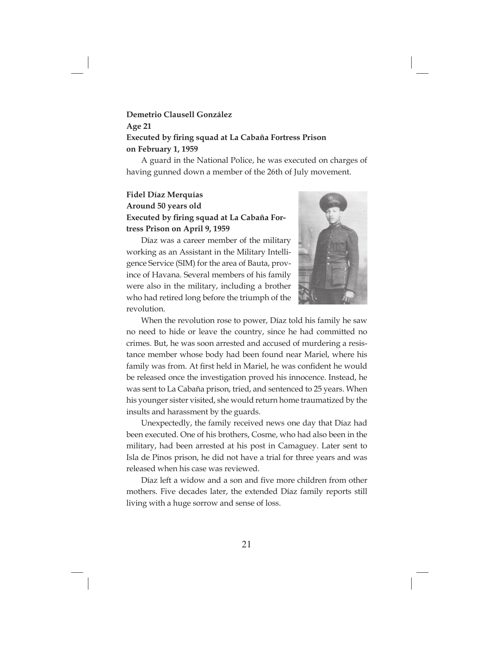### **Demetrio Clausell González Age 21 Executed by firing squad at La Cabaña Fortress Prison on February 1, 1959**

A guard in the National Police, he was executed on charges of having gunned down a member of the 26th of July movement.

### **Fidel Díaz Merquías Around 50 years old Executed by firing squad at La Cabaña Fortress Prison on April 9, 1959**

Díaz was a career member of the military working as an Assistant in the Military Intelligence Service (SIM) for the area of Bauta, province of Havana. Several members of his family were also in the military, including a brother who had retired long before the triumph of the revolution.



When the revolution rose to power, Díaz told his family he saw no need to hide or leave the country, since he had committed no crimes. But, he was soon arrested and accused of murdering a resistance member whose body had been found near Mariel, where his family was from. At first held in Mariel, he was confident he would be released once the investigation proved his innocence. Instead, he was sent to La Cabaña prison, tried, and sentenced to 25 years. When his younger sister visited, she would return home traumatized by the insults and harassment by the guards.

Unexpectedly, the family received news one day that Díaz had been executed. One of his brothers, Cosme, who had also been in the military, had been arrested at his post in Camaguey. Later sent to Isla de Pinos prison, he did not have a trial for three years and was released when his case was reviewed.

Díaz left a widow and a son and five more children from other mothers. Five decades later, the extended Díaz family reports still living with a huge sorrow and sense of loss.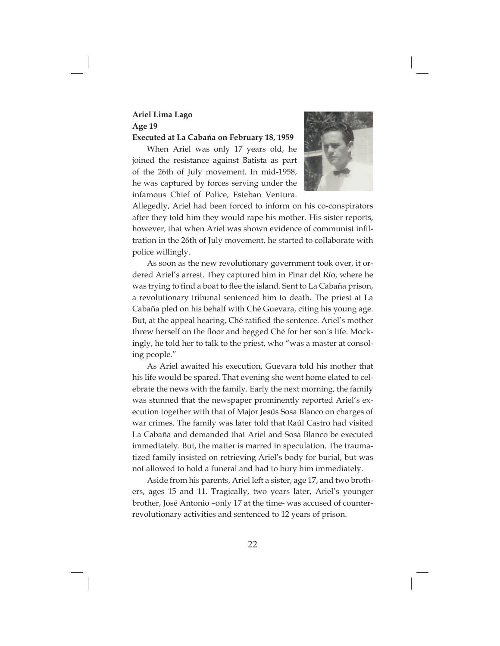#### **Ariel Lima Lago Age 19 Executed at La Cabaña on February 18, 1959**

When Ariel was only 17 years old, he joined the resistance against Batista as part of the 26th of July movement. In mid-1958, he was captured by forces serving under the infamous Chief of Police, Esteban Ventura.



Allegedly, Ariel had been forced to inform on his co-conspirators after they told him they would rape his mother. His sister reports, however, that when Ariel was shown evidence of communist infiltration in the 26th of July movement, he started to collaborate with police willingly.

As soon as the new revolutionary government took over, it ordered Ariel's arrest. They captured him in Pinar del Río, where he was trying to find a boat to flee the island. Sent to La Cabaña prison, a revolutionary tribunal sentenced him to death. The priest at La Cabaña pled on his behalf with Ché Guevara, citing his young age. But, at the appeal hearing, Ché ratified the sentence. Ariel's mother threw herself on the floor and begged Ché for her son's life. Mockingly, he told her to talk to the priest, who "was a master at consoling people."

As Ariel awaited his execution, Guevara told his mother that his life would be spared. That evening she went home elated to celebrate the news with the family. Early the next morning, the family was stunned that the newspaper prominently reported Ariel's execution together with that of Major Jesús Sosa Blanco on charges of war crimes. The family was later told that Raúl Castro had visited La Cabaña and demanded that Ariel and Sosa Blanco be executed immediately. But, the matter is marred in speculation. The traumatized family insisted on retrieving Ariel's body for burial, but was not allowed to hold a funeral and had to bury him immediately.

Aside from his parents, Ariel left a sister, age 17, and two brothers, ages 15 and 11. Tragically, two years later, Ariel's younger brother, José Antonio –only 17 at the time- was accused of counterrevolutionary activities and sentenced to 12 years of prison.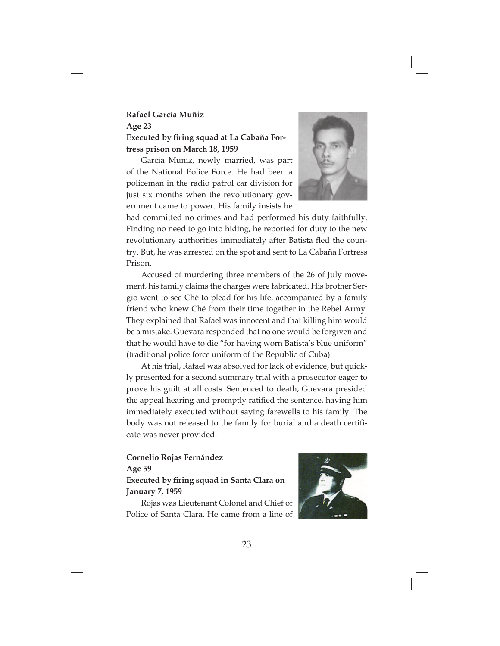### **Rafael García Muñiz Age 23 Executed by firing squad at La Cabaña Fortress prison on March 18, 1959**

García Muñiz, newly married, was part of the National Police Force. He had been a policeman in the radio patrol car division for just six months when the revolutionary government came to power. His family insists he



had committed no crimes and had performed his duty faithfully. Finding no need to go into hiding, he reported for duty to the new revolutionary authorities immediately after Batista fled the country. But, he was arrested on the spot and sent to La Cabaña Fortress Prison.

Accused of murdering three members of the 26 of July movement, his family claims the charges were fabricated. His brother Sergio went to see Ché to plead for his life, accompanied by a family friend who knew Ché from their time together in the Rebel Army. They explained that Rafael was innocent and that killing him would be a mistake. Guevara responded that no one would be forgiven and that he would have to die "for having worn Batista's blue uniform" (traditional police force uniform of the Republic of Cuba).

At his trial, Rafael was absolved for lack of evidence, but quickly presented for a second summary trial with a prosecutor eager to prove his guilt at all costs. Sentenced to death, Guevara presided the appeal hearing and promptly ratified the sentence, having him immediately executed without saying farewells to his family. The body was not released to the family for burial and a death certificate was never provided.

### **Cornelio Rojas Fernández Age 59 Executed by firing squad in Santa Clara on January 7, 1959**

Rojas was Lieutenant Colonel and Chief of Police of Santa Clara. He came from a line of

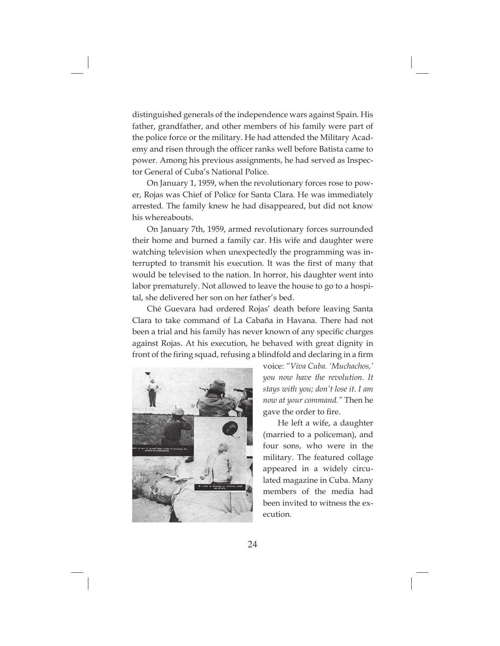distinguished generals of the independence wars against Spain. His father, grandfather, and other members of his family were part of the police force or the military. He had attended the Military Academy and risen through the officer ranks well before Batista came to power. Among his previous assignments, he had served as Inspector General of Cuba's National Police.

On January 1, 1959, when the revolutionary forces rose to power, Rojas was Chief of Police for Santa Clara. He was immediately arrested. The family knew he had disappeared, but did not know his whereabouts.

On January 7th, 1959, armed revolutionary forces surrounded their home and burned a family car. His wife and daughter were watching television when unexpectedly the programming was interrupted to transmit his execution. It was the first of many that would be televised to the nation. In horror, his daughter went into labor prematurely. Not allowed to leave the house to go to a hospital, she delivered her son on her father's bed.

Ché Guevara had ordered Rojas' death before leaving Santa Clara to take command of La Cabaña in Havana. There had not been a trial and his family has never known of any specific charges against Rojas. At his execution, he behaved with great dignity in front of the firing squad, refusing a blindfold and declaring in a firm



voice: *"Viva Cuba. 'Muchachos,' you now have the revolution. It stays with you; don't lose it. I am now at your command."* Then he gave the order to fire.

He left a wife, a daughter (married to a policeman), and four sons, who were in the military. The featured collage appeared in a widely circulated magazine in Cuba. Many members of the media had been invited to witness the execution.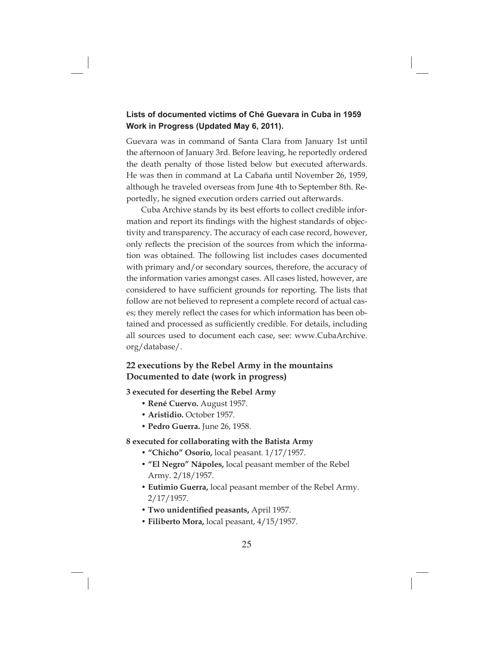### **Lists of documented victims of Ché Guevara in Cuba in 1959 Work in Progress (Updated May 6, 2011).**

Guevara was in command of Santa Clara from January 1st until the afternoon of January 3rd. Before leaving, he reportedly ordered the death penalty of those listed below but executed afterwards. He was then in command at La Cabaña until November 26, 1959, although he traveled overseas from June 4th to September 8th. Reportedly, he signed execution orders carried out afterwards.

Cuba Archive stands by its best efforts to collect credible information and report its findings with the highest standards of objectivity and transparency. The accuracy of each case record, however, only reflects the precision of the sources from which the information was obtained. The following list includes cases documented with primary and/or secondary sources, therefore, the accuracy of the information varies amongst cases. All cases listed, however, are considered to have sufficient grounds for reporting. The lists that follow are not believed to represent a complete record of actual cases; they merely reflect the cases for which information has been obtained and processed as sufficiently credible. For details, including all sources used to document each case, see: www.CubaArchive. org/database/.

### **22 executions by the Rebel Army in the mountains Documented to date (work in progress)**

**3 executed for deserting the Rebel Army**

- **René Cuervo.** August 1957.
- **Aristidio.** October 1957.
- **Pedro Guerra.** June 26, 1958.

#### **8 executed for collaborating with the Batista Army**

- **"Chicho" Osorio,** local peasant. 1/17/1957.
- **"El Negro" Nápoles,** local peasant member of the Rebel Army. 2/18/1957.
- **Eutimio Guerra,** local peasant member of the Rebel Army. 2/17/1957.
- Two unidentified peasants, April 1957.
- **Filiberto Mora,** local peasant, 4/15/1957.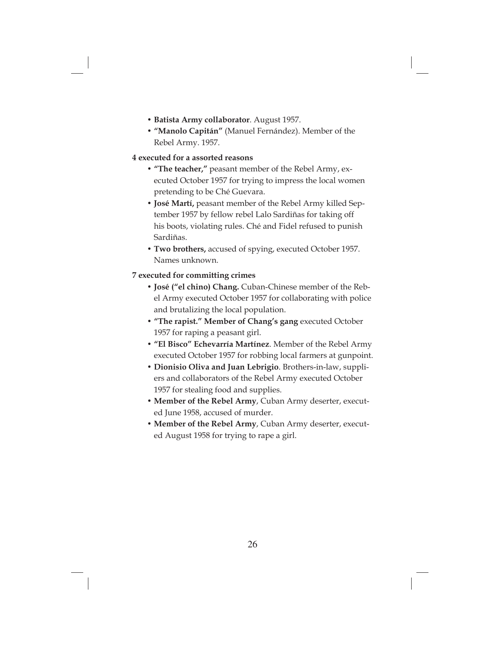- **Batista Army collaborator**. August 1957.
- **"Manolo Capitán"** (Manuel Fernández). Member of the Rebel Army. 1957.

#### **4 executed for a assorted reasons**

- **"The teacher,"** peasant member of the Rebel Army, executed October 1957 for trying to impress the local women pretending to be Ché Guevara.
- **José Martí,** peasant member of the Rebel Army killed September 1957 by fellow rebel Lalo Sardiñas for taking off his boots, violating rules. Ché and Fidel refused to punish Sardiñas.
- **Two brothers,** accused of spying, executed October 1957. Names unknown.

#### **7 executed for committing crimes**

- **José ("el chino) Chang.** Cuban-Chinese member of the Rebel Army executed October 1957 for collaborating with police and brutalizing the local population.
- **"The rapist." Member of Chang's gang** executed October 1957 for raping a peasant girl.
- **"El Bisco" Echevarría Martínez**. Member of the Rebel Army executed October 1957 for robbing local farmers at gunpoint.
- **Dionisio Oliva and Juan Lebrigio**. Brothers-in-law, suppliers and collaborators of the Rebel Army executed October 1957 for stealing food and supplies.
- **Member of the Rebel Army**, Cuban Army deserter, executed June 1958, accused of murder.
- **Member of the Rebel Army**, Cuban Army deserter, executed August 1958 for trying to rape a girl.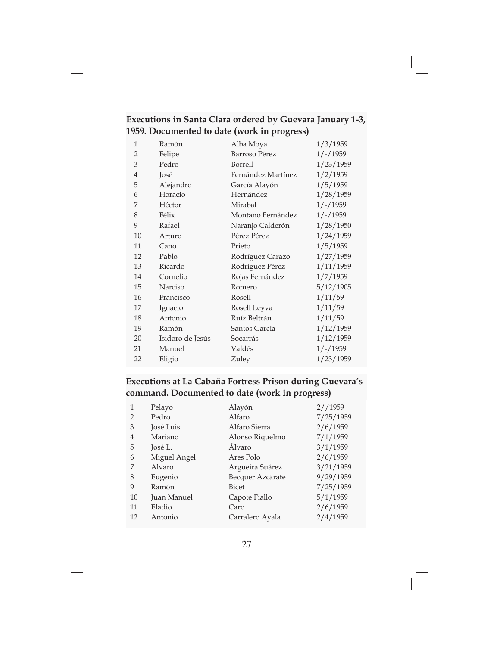|                                             | Executions in Santa Clara ordered by Guevara January 1-3, |
|---------------------------------------------|-----------------------------------------------------------|
| 1959. Documented to date (work in progress) |                                                           |

| 1              | Ramón            | Alba Moya          | 1/3/1959   |
|----------------|------------------|--------------------|------------|
| $\overline{2}$ | Felipe           | Barroso Pérez      | $1/-/1959$ |
| 3              | Pedro            | Borrell            | 1/23/1959  |
| $\overline{4}$ | José             | Fernández Martínez | 1/2/1959   |
| 5              | Alejandro        | García Alayón      | 1/5/1959   |
| 6              | Horacio          | Hernández          | 1/28/1959  |
| 7              | Héctor           | Mirabal            | $1/-/1959$ |
| 8              | Félix            | Montano Fernández  | $1/-/1959$ |
| 9              | Rafael           | Naranjo Calderón   | 1/28/1950  |
| 10             | Arturo           | Pérez Pérez        | 1/24/1959  |
| 11             | Cano             | Prieto             | 1/5/1959   |
| 12             | Pablo            | Rodríguez Carazo   | 1/27/1959  |
| 13             | Ricardo          | Rodríguez Pérez    | 1/11/1959  |
| 14             | Cornelio         | Rojas Fernández    | 1/7/1959   |
| 15             | Narciso          | Romero             | 5/12/1905  |
| 16             | Francisco        | Rosell             | 1/11/59    |
| 17             | Ignacio          | Rosell Leyva       | 1/11/59    |
| 18             | Antonio          | Ruíz Beltrán       | 1/11/59    |
| 19             | Ramón            | Santos García      | 1/12/1959  |
| 20             | Isidoro de Jesús | Socarrás           | 1/12/1959  |
| 21             | Manuel           | Valdés             | $1/-/1959$ |
| 22             | Eligio           | Zuley              | 1/23/1959  |
|                |                  |                    |            |

### **Executions at La Cabaña Fortress Prison during Guevara's command. Documented to date (work in progress)**

| $\mathbf{1}$   | Pelayo       | Alayón           | 2//1959   |
|----------------|--------------|------------------|-----------|
| $\mathcal{P}$  | Pedro        | Alfaro           | 7/25/1959 |
| 3              | José Luis    | Alfaro Sierra    | 2/6/1959  |
| $\overline{4}$ | Mariano      | Alonso Riquelmo  | 7/1/1959  |
| 5              | José L.      | Álvaro           | 3/1/1959  |
| 6              | Miguel Angel | Ares Polo        | 2/6/1959  |
|                | Alvaro       | Argueira Suárez  | 3/21/1959 |
| 8              | Eugenio      | Becquer Azcárate | 9/29/1959 |
| 9              | Ramón        | <b>Bicet</b>     | 7/25/1959 |
| 10             | Juan Manuel  | Capote Fiallo    | 5/1/1959  |
| 11             | Eladio       | Caro             | 2/6/1959  |
| 12             | Antonio      | Carralero Ayala  | 2/4/1959  |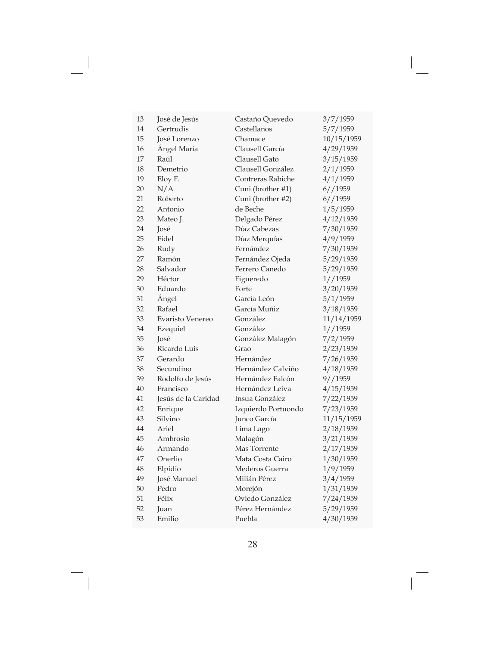| 13 | José de Jesús       | Castaño Quevedo     | 3/7/1959   |
|----|---------------------|---------------------|------------|
| 14 | Gertrudis           | Castellanos         | 5/7/1959   |
| 15 | <b>José Lorenzo</b> | Chamace             | 10/15/1959 |
| 16 | Ángel María         | Clausell García     | 4/29/1959  |
| 17 | Raúl                | Clausell Gato       | 3/15/1959  |
| 18 | Demetrio            | Clausell González   | 2/1/1959   |
| 19 | Eloy F.             | Contreras Rabiche   | 4/1/1959   |
| 20 | N/A                 | Cuni (brother #1)   | 6//1959    |
| 21 | Roberto             | Cuni (brother #2)   | 6//1959    |
| 22 | Antonio             | de Beche            | 1/5/1959   |
| 23 | Mateo J.            | Delgado Pérez       | 4/12/1959  |
| 24 | José                | Díaz Cabezas        | 7/30/1959  |
| 25 | Fidel               | Díaz Merquías       | 4/9/1959   |
| 26 | Rudy                | Fernández           | 7/30/1959  |
| 27 | Ramón               | Fernández Ojeda     | 5/29/1959  |
| 28 | Salvador            | Ferrero Canedo      | 5/29/1959  |
| 29 | Héctor              | Figueredo           | 1//1959    |
| 30 | Eduardo             | Forte               | 3/20/1959  |
| 31 | Ángel               | García León         | 5/1/1959   |
| 32 | Rafael              | García Muñiz        | 3/18/1959  |
| 33 | Evaristo Venereo    | González            | 11/14/1959 |
| 34 | Ezequiel            | González            | 1//1959    |
| 35 | <b>José</b>         | González Malagón    | 7/2/1959   |
| 36 | Ricardo Luis        | Grao                | 2/23/1959  |
| 37 | Gerardo             | Hernández           | 7/26/1959  |
| 38 | Secundino           | Hernández Calviño   | 4/18/1959  |
| 39 | Rodolfo de Jesús    | Hernández Falcón    | 9/1959     |
| 40 | Francisco           | Hernández Leiva     | 4/15/1959  |
| 41 | Jesús de la Caridad | Insua González      | 7/22/1959  |
| 42 | Enrique             | Izquierdo Portuondo | 7/23/1959  |
| 43 | Silvino             | Junco García        | 11/15/1959 |
| 44 | Ariel               | Lima Lago           | 2/18/1959  |
| 45 | Ambrosio            | Malagón             | 3/21/1959  |
| 46 | Armando             | Mas Torrente        | 2/17/1959  |
| 47 | Onerlio             | Mata Costa Cairo    | 1/30/1959  |
| 48 | Elpidio             | Mederos Guerra      | 1/9/1959   |
| 49 | José Manuel         | Milián Pérez        | 3/4/1959   |
| 50 | Pedro               | Morejón             | 1/31/1959  |
| 51 | Félix               | Oviedo González     | 7/24/1959  |
| 52 | Juan                | Pérez Hernández     | 5/29/1959  |
| 53 | Emilio              | Puebla              | 4/30/1959  |

Ξ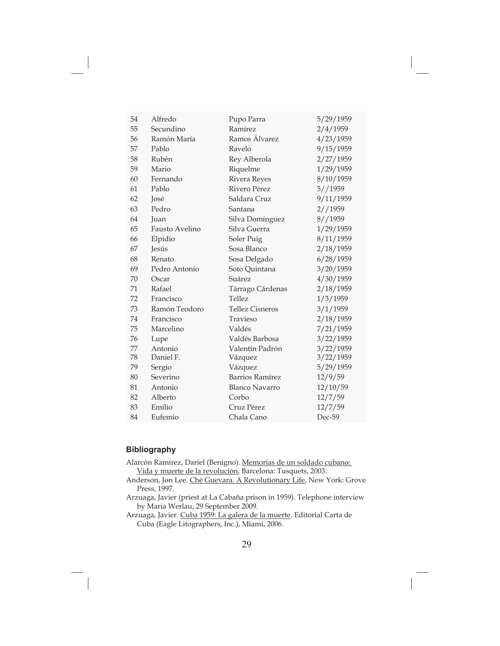| Alfredo        | Pupo Parra             | 5/29/1959 |
|----------------|------------------------|-----------|
| Secundino      | Ramírez                | 2/4/1959  |
| Ramón María    | Ramos Álvarez          | 4/23/1959 |
| Pablo          | Ravelo                 | 9/15/1959 |
| Rubén          | Rey Alberola           | 2/27/1959 |
| Mario          | Riquelme               | 1/29/1959 |
| Fernando       | Rivera Reyes           | 8/10/1959 |
| Pablo          | Rivero Pérez           | 5//1959   |
| José           | Saldara Cruz           | 9/11/1959 |
| Pedro          | Santana                | 2//1959   |
| Juan           | Silva Domínguez        | 8//1959   |
| Fausto Avelino | Silva Guerra           | 1/29/1959 |
| Elpidio        | Soler Puig             | 8/11/1959 |
| <b>Jesús</b>   | Sosa Blanco            | 2/18/1959 |
| Renato         | Sosa Delgado           | 6/28/1959 |
| Pedro Antonio  | Soto Quintana          | 3/20/1959 |
| Oscar          | Suárez                 | 4/30/1959 |
| Rafael         | Tárrago Cárdenas       | 2/18/1959 |
| Francisco      | <b>Tellez</b>          | 1/3/1959  |
| Ramón Teodoro  | <b>Tellez Cisneros</b> | 3/1/1959  |
| Francisco      | Travieso               | 2/18/1959 |
| Marcelino      | Valdés                 | 7/21/1959 |
| Lupe           | Valdés Barbosa         | 3/22/1959 |
| Antonio        | Valentín Padrón        | 3/22/1959 |
| Daniel F.      | Vázquez                | 3/22/1959 |
| Sergio         | Vázquez                | 5/29/1959 |
| Severino       | Barrios Ramírez        | 12/9/59   |
| Antonio        | <b>Blanco Navarro</b>  | 12/10/59  |
| Alberto        | Corbo                  | 12/7/59   |
| Emilio         | Cruz Pérez             | 12/7/59   |
| Eufemio        | Chala Cano             | Dec-59    |
|                |                        |           |

#### **Bibliography**

Alarcón Ramírez, Dariel (Benigno). Memorias de un soldado cubano: Vida y muerte de la revolución, Barcelona: Tusquets, 2003.

Anderson, Jon Lee. Ché Guevara. A Revolutionary Life, New York: Grove Press, 1997.

Arzuaga, Javier (priest at La Cabaña prison in 1959). Telephone interview by Maria Werlau, 29 September 2009.

Arzuaga, Javier. Cuba 1959: La galera de la muerte. Editorial Carta de Cuba (Eagle Litographers, Inc.), Miami, 2006.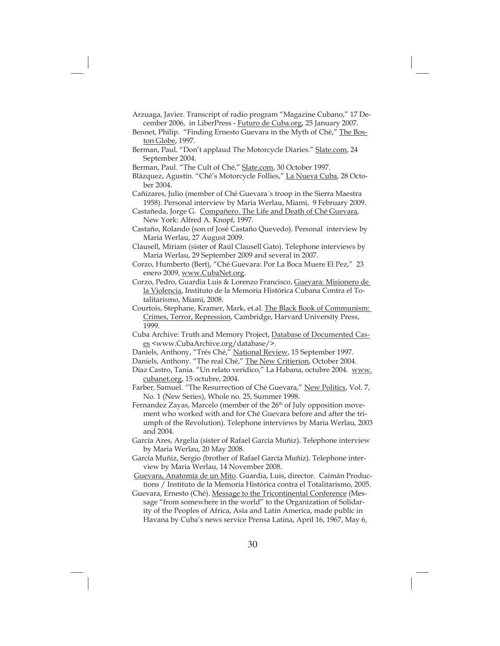- Arzuaga, Javier. Transcript of radio program "Magazine Cubano," 17 December 2006, in LiberPress - **Futuro de Cuba.org**, 25 January 2007.
- Bennet, Philip. "Finding Ernesto Guevara in the Myth of Ché," The Boston Globe, 1997.
- Berman, Paul. "Don't applaud The Motorcycle Diaries." Slate.com, 24 September 2004.
- Berman, Paul. "The Cult of Ché," <u>Slate.com</u>, 30 October 1997.
- Blázquez, Agustín. "Ché's Motorcycle Follies," La Nueva Cuba, 28 October 2004.

Cañizares, Julio (member of Ché Guevara´s troop in the Sierra Maestra 1958). Personal interview by Maria Werlau, Miami, 9 February 2009.

- Castañeda, Jorge G. Compañero. The Life and Death of Ché Guevara, New York: Alfred A. Knopf, 1997.
- Castaño, Rolando (son of José Castaño Quevedo). Personal interview by Maria Werlau, 27 August 2009.
- Clausell, Miriam (sister of Raúl Clausell Gato). Telephone interviews by Maria Werlau, 29 September 2009 and several in 2007.
- Corzo, Humberto (Bert), "Ché Guevara: Por La Boca Muere El Pez," 23 enero 2009, www.CubaNet.org.
- Corzo, Pedro, Guardia Luis & Lorenzo Francisco, Guevara: Misionero de la Violencia, Instituto de la Memoria Histórica Cubana Contra el Totalitarismo, Miami, 2008.
- Courtois, Stephane, Kramer, Mark, et.al. The Black Book of Communism: Crimes, Terror, Repression, Cambridge, Harvard University Press, 1999.
- Cuba Archive: Truth and Memory Project, Database of Documented Cases <www.CubaArchive.org/database/>.
- Daniels, Anthony, "Trés Ché," <u>National Review</u>, 15 September 1997.
- Daniels, Anthony. "The real Ché," <u>The New Critierion</u>, October 2004.
- Díaz Castro, Tania. "Un relato verídico," La Habana, octubre 2004. www. cubanet.org, 15 octubre, 2004.
- Farber*,* Samuel*. "*The Resurrection of Ché Guevara," New Politics, Vol. 7, No. 1 (New Series), Whole no. 25, Summer 1998.
- Fernandez Zayas, Marcelo (member of the 26<sup>th</sup> of July opposition movement who worked with and for Ché Guevara before and after the triumph of the Revolution). Telephone interviews by Maria Werlau, 2003 and 2004.
- García Ares, Argelia (sister of Rafael García Muñiz). Telephone interview by Maria Werlau, 20 May 2008.
- García Muñiz, Sergio (brother of Rafael García Muñiz). Telephone interview by Maria Werlau, 14 November 2008.
- Guevara, Anatomía de un Mito. Guardia, Luis, director. Caimán Productions / Instituto de la Memoria Histórica contra el Totalitarismo, 2005.
- Guevara, Ernesto (Ché). Message to the Tricontinental Conference (Message "from somewhere in the world" to the Organization of Solidarity of the Peoples of Africa, Asia and Latin America, made public in Havana by Cuba's news service Prensa Latina, April 16, 1967, May 6,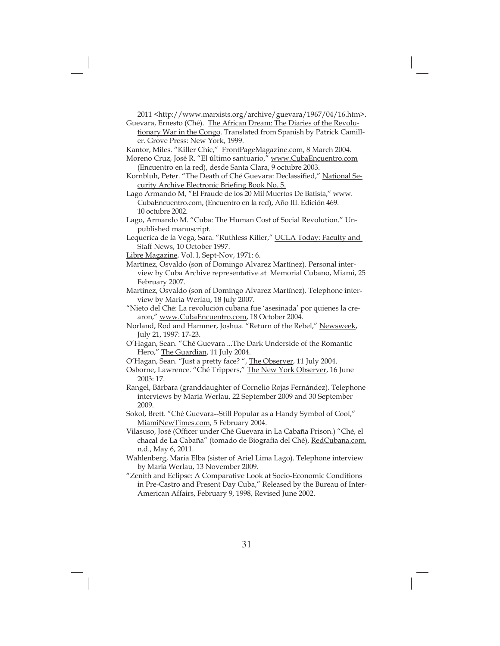2011 <http://www.marxists.org/archive/guevara/1967/04/16.htm>.

- Guevara, Ernesto (Ché). The African Dream: The Diaries of the Revolutionary War in the Congo. Translated from Spanish by Patrick Camiller. Grove Press: New York, 1999.
- Kantor, Miles. "Killer Chic," FrontPageMagazine.com, 8 March 2004.
- Moreno Cruz, José R. "El último santuario," www.CubaEncuentro.com (Encuentro en la red), desde Santa Clara, 9 octubre 2003.
- Kornbluh, Peter. "The Death of Ché Guevara: Declassified," National Security Archive Electronic Briefing Book No. 5.
- Lago Armando M, "El Fraude de los 20 Mil Muertos De Batista," www. CubaEncuentro.com, (Encuentro en la red), Año III. Edición 469. 10 octubre 2002.
- Lago, Armando M. "Cuba: The Human Cost of Social Revolution." Unpublished manuscript.
- Lequerica de la Vega, Sara. "Ruthless Killer," UCLA Today: Faculty and Staff News, 10 October 1997.
- Libre Magazine, Vol. I, Sept-Nov, 1971: 6.
- Martínez, Osvaldo (son of Domingo Alvarez Martínez). Personal interview by Cuba Archive representative at Memorial Cubano, Miami, 25 February 2007.
- Martínez, Osvaldo (son of Domingo Alvarez Martínez). Telephone interview by Maria Werlau, 18 July 2007.
- "Nieto del Ché: La revolución cubana fue 'asesinada' por quienes la crearon," www.CubaEncuentro.com, 18 October 2004.
- Norland, Rod and Hammer, Joshua. "Return of the Rebel," Newsweek, July 21, 1997: 17-23.
- O'Hagan, Sean. "Ché Guevara ...The Dark Underside of the Romantic Hero," The Guardian, 11 July 2004.
- O'Hagan, Sean. "Just a pretty face?", The Observer, 11 July 2004.
- Osborne, Lawrence. "Ché Trippers," <u>The New York Observer</u>, 16 June 2003: 17.
- Rangel, Bárbara (granddaughter of Cornelio Rojas Fernández). Telephone interviews by Maria Werlau, 22 September 2009 and 30 September 2009.
- Sokol, Brett. "Ché Guevara--Still Popular as a Handy Symbol of Cool," MiamiNewTimes.com, 5 February 2004.
- Vilasuso, José (Officer under Ché Guevara in La Cabaña Prison.) "Ché, el chacal de La Cabaña" (tomado de Biografía del Ché), RedCubana.com, n.d., May 6, 2011.
- Wahlenberg, Maria Elba (sister of Ariel Lima Lago). Telephone interview by Maria Werlau, 13 November 2009.
- "Zenith and Eclipse: A Comparative Look at Socio-Economic Conditions in Pre-Castro and Present Day Cuba," Released by the Bureau of Inter-American Affairs, February 9, 1998, Revised June 2002.